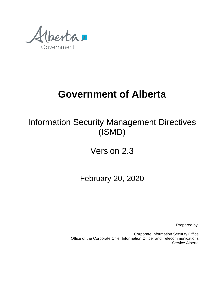renta Government

# **Government of Alberta**

Information Security Management Directives (ISMD)

Version 2.3

February 20, 2020

Prepared by:

Corporate Information Security Office Office of the Corporate Chief Information Officer and Telecommunications Service Alberta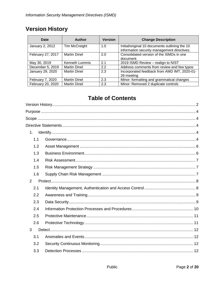# <span id="page-1-0"></span>**Version History**

| Date              | Author               | <b>Version</b> | <b>Change Description</b>                                                                     |
|-------------------|----------------------|----------------|-----------------------------------------------------------------------------------------------|
| January 2, 2012   | <b>Tim McCreight</b> | 1.0            | Initial/original 10 documents outlining the 10<br>information security management directives. |
| February 27, 2017 | <b>Martin Dinel</b>  | 2.0            | Consolidated version of the ISMDs in one<br>document.                                         |
| May 30, 2019      | Kenneth Lummis       | 2.1            | 2019 ISMD Review - realign to NIST                                                            |
| December 5, 2019  | <b>Martin Dinel</b>  | 2.2            | Address comments from review and few typos                                                    |
| January 29, 2020  | <b>Martin Dinel</b>  | 2.3            | Incorporated feedback from AMD IMT, 2020-01-<br>28 meeting                                    |
| February 7, 2020  | <b>Martin Dinel</b>  | 2.3            | Minor: formatting and grammatical changes                                                     |
| February 20, 2020 | <b>Martin Dinel</b>  | 2.3            | Minor: Removed 2 duplicate controls                                                           |

# **Table of Contents**

| 1.  |  |
|-----|--|
| 1.1 |  |
| 1.2 |  |
| 1.3 |  |
| 1.4 |  |
| 1.5 |  |
| 1.6 |  |
| 2   |  |
| 2.1 |  |
| 2.2 |  |
| 2.3 |  |
| 2.4 |  |
| 2.5 |  |
| 2.6 |  |
| 3   |  |
| 3.1 |  |
| 3.2 |  |
| 3.3 |  |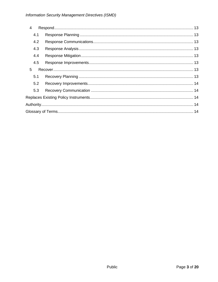| $\overline{4}$ |  |  |
|----------------|--|--|
| 4.1            |  |  |
| 4.2            |  |  |
| 4.3            |  |  |
| 4.4            |  |  |
| 4.5            |  |  |
| 5              |  |  |
| 5.1            |  |  |
| 5.2            |  |  |
| 5.3            |  |  |
|                |  |  |
|                |  |  |
|                |  |  |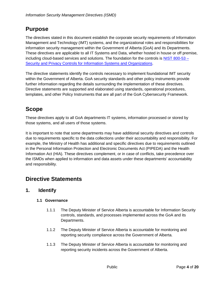# <span id="page-3-0"></span>**Purpose**

The directives stated in this document establish the corporate security requirements of Information Management and Technology (IMT) systems, and the organizational roles and responsibilities for information security management within the Government of Alberta (GoA) and its Departments. These directives are applicable to all IT Systems and Data, whether hosted in house or off premise, including cloud-based services and solutions. The foundation for the controls is [NIST 800-53 –](http://www.servicelink.gov.ab.ca/security/docs/NIST_Security_and_Privacy_Controls_800-53_R4.pdf) [Security and Privacy Controls for Information Systems and Organizations.](http://www.servicelink.gov.ab.ca/security/docs/NIST_Security_and_Privacy_Controls_800-53_R4.pdf)

The directive statements identify the controls necessary to implement foundational IMT security within the Government of Alberta. GoA security standards and other policy instruments provide further information regarding the details surrounding the implementation of these directives. Directive statements are supported and elaborated using standards, operational procedures, templates, and other Policy Instruments that are all part of the GoA Cybersecurity Framework.

# <span id="page-3-1"></span>**Scope**

These directives apply to all GoA departments IT systems, information processed or stored by those systems, and all users of those systems.

It is important to note that some departments may have additional security directives and controls due to requirements specific to the data collections under their accountability and responsibility. For example, the Ministry of Health has additional and specific directives due to requirements outlined in the Personal Information Protection and Electronic Documents Act (PIPEDA) and the Health Information Act (HIA). These directives complement, or in case of conflicts, take precedence over the ISMDs when applied to information and data assets under these departments' accountability and responsibility.

# <span id="page-3-2"></span>**Directive Statements**

### <span id="page-3-4"></span><span id="page-3-3"></span>**1. Identify**

#### **1.1 Governance**

- 1.1.1 The Deputy Minister of Service Alberta is accountable for Information Security controls, standards, and processes implemented across the GoA and its Departments.
- 1.1.2 The Deputy Minister of Service Alberta is accountable for monitoring and reporting security compliance across the Government of Alberta.
- 1.1.3 The Deputy Minister of Service Alberta is accountable for monitoring and reporting security incidents across the Government of Alberta.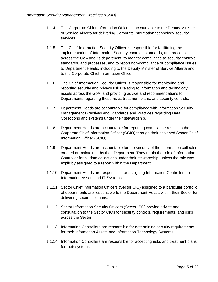- 1.1.4 The Corporate Chief Information Officer is accountable to the Deputy Minister of Service Alberta for delivering Corporate information technology security services.
- 1.1.5 The Chief Information Security Officer is responsible for facilitating the implementation of Information Security controls, standards, and processes across the GoA and its department, to monitor compliance to security controls, standards, and processes, and to report non-compliance or compliance issues to Department Heads, including to the Deputy Minister of Service Alberta and to the Corporate Chief Information Officer.
- 1.1.6 The Chief Information Security Officer is responsible for monitoring and reporting security and privacy risks relating to information and technology assets across the GoA; and providing advice and recommendations to Departments regarding these risks, treatment plans, and security controls.
- 1.1.7 Department Heads are accountable for compliance with Information Security Management Directives and Standards and Practices regarding Data Collections and systems under their stewardship.
- 1.1.8 Department Heads are accountable for reporting compliance results to the Corporate Chief Information Officer (CCIO) through their assigned Sector Chief Information Officer (SCIO).
- 1.1.9 Department Heads are accountable for the security of the information collected, created or maintained by their Department. They retain the role of Information Controller for all data collections under their stewardship, unless the role was explicitly assigned to a report within the Department.
- 1.1.10 Department Heads are responsible for assigning Information Controllers to Information Assets and IT Systems.
- 1.1.11 Sector Chief Information Officers (Sector CIO) assigned to a particular portfolio of departments are responsible to the Department Heads within their Sector for delivering secure solutions.
- 1.1.12 Sector Information Security Officers (Sector ISO) provide advice and consultation to the Sector CIOs for security controls, requirements, and risks across the Sector.
- 1.1.13 Information Controllers are responsible for determining security requirements for their Information Assets and Information Technology Systems.
- 1.1.14 Information Controllers are responsible for accepting risks and treatment plans for their systems.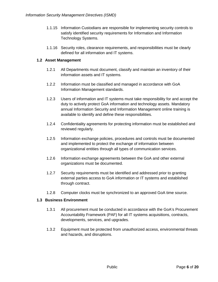- 1.1.15 Information Custodians are responsible for implementing security controls to satisfy identified security requirements for Information and Information Technology Systems.
- 1.1.16 Security roles, clearance requirements, and responsibilities must be clearly defined for all information and IT systems.

#### <span id="page-5-0"></span>**1.2 Asset Management**

- 1.2.1 All Departments must document, classify and maintain an inventory of their information assets and IT systems.
- 1.2.2 Information must be classified and managed in accordance with GoA Information Management standards.
- 1.2.3 Users of information and IT systems must take responsibility for and accept the duty to actively protect GoA information and technology assets. Mandatory annual Information Security and Information Management online training is available to identify and define these responsibilities.
- 1.2.4 Confidentiality agreements for protecting information must be established and reviewed regularly.
- 1.2.5 Information exchange policies, procedures and controls must be documented and implemented to protect the exchange of information between organizational entities through all types of communication services.
- 1.2.6 Information exchange agreements between the GoA and other external organizations must be documented.
- 1.2.7 Security requirements must be identified and addressed prior to granting external parties access to GoA information or IT systems and established through contract.
- 1.2.8 Computer clocks must be synchronized to an approved GoA time source.

#### <span id="page-5-1"></span>**1.3 Business Environment**

- 1.3.1 All procurement must be conducted in accordance with the GoA's Procurement Accountability Framework (PAF) for all IT systems acquisitions, contracts, developments, services, and upgrades.
- 1.3.2 Equipment must be protected from unauthorized access, environmental threats and hazards, and disruptions.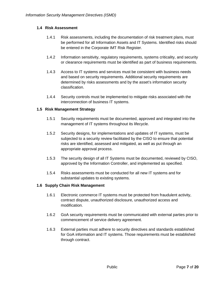#### <span id="page-6-0"></span>**1.4 Risk Assessment**

- 1.4.1 Risk assessments, including the documentation of risk treatment plans, must be performed for all Information Assets and IT Systems. Identified risks should be entered in the Corporate IMT Risk Register.
- 1.4.2 Information sensitivity, regulatory requirements, systems criticality, and security or clearance requirements must be identified as part of business requirements.
- 1.4.3 Access to IT systems and services must be consistent with business needs and based on security requirements. Additional security requirements are determined by risks assessments and by the asset's information security classification.
- 1.4.4 Security controls must be implemented to mitigate risks associated with the interconnection of business IT systems.

#### <span id="page-6-1"></span>**1.5 Risk Management Strategy**

- 1.5.1 Security requirements must be documented, approved and integrated into the management of IT systems throughout its lifecycle.
- 1.5.2 Security designs, for implementations and updates of IT systems, must be subjected to a security review facilitated by the CISO to ensure that potential risks are identified, assessed and mitigated, as well as put through an appropriate approval process.
- 1.5.3 The security design of all IT Systems must be documented, reviewed by CISO, approved by the Information Controller, and implemented as specified.
- 1.5.4 Risks assessments must be conducted for all new IT systems and for substantial updates to existing systems.

#### <span id="page-6-2"></span>**1.6 Supply Chain Risk Management**

- 1.6.1 Electronic commerce IT systems must be protected from fraudulent activity, contract dispute, unauthorized disclosure, unauthorized access and modification.
- 1.6.2 GoA security requirements must be communicated with external parties prior to commencement of service delivery agreement.
- 1.6.3 External parties must adhere to security directives and standards established for GoA information and IT systems. Those requirements must be established through contract.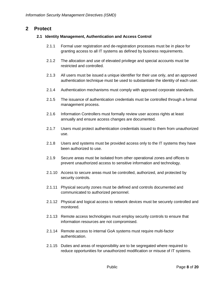#### <span id="page-7-1"></span><span id="page-7-0"></span>**2 Protect**

#### **2.1 Identity Management, Authentication and Access Control**

- 2.1.1 Formal user registration and de-registration processes must be in place for granting access to all IT systems as defined by business requirements.
- 2.1.2 The allocation and use of elevated privilege and special accounts must be restricted and controlled.
- 2.1.3 All users must be issued a unique identifier for their use only, and an approved authentication technique must be used to substantiate the identity of each user.
- 2.1.4 Authentication mechanisms must comply with approved corporate standards.
- 2.1.5 The issuance of authentication credentials must be controlled through a formal management process.
- 2.1.6 Information Controllers must formally review user access rights at least annually and ensure access changes are documented.
- 2.1.7 Users must protect authentication credentials issued to them from unauthorized use.
- 2.1.8 Users and systems must be provided access only to the IT systems they have been authorized to use.
- 2.1.9 Secure areas must be isolated from other operational zones and offices to prevent unauthorized access to sensitive information and technology.
- 2.1.10 Access to secure areas must be controlled, authorized, and protected by security controls.
- 2.1.11 Physical security zones must be defined and controls documented and communicated to authorized personnel.
- 2.1.12 Physical and logical access to network devices must be securely controlled and monitored.
- 2.1.13 Remote access technologies must employ security controls to ensure that information resources are not compromised.
- 2.1.14 Remote access to internal GoA systems must require multi-factor authentication.
- 2.1.15 Duties and areas of responsibility are to be segregated where required to reduce opportunities for unauthorized modification or misuse of IT systems.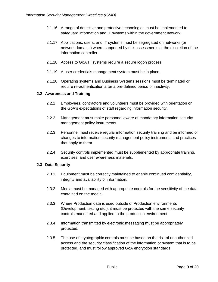- 2.1.16 A range of detective and protective technologies must be implemented to safeguard information and IT systems within the government network.
- 2.1.17 Applications, users, and IT systems must be segregated on networks (or network domains) where supported by risk assessments at the discretion of the information controller.
- 2.1.18 Access to GoA IT systems require a secure logon process.
- 2.1.19 A user credentials management system must be in place.
- 2.1.20 Operating systems and Business Systems sessions must be terminated or require re-authentication after a pre-defined period of inactivity.

#### <span id="page-8-0"></span>**2.2 Awareness and Training**

- 2.2.1 Employees, contractors and volunteers must be provided with orientation on the GoA's expectations of staff regarding information security.
- 2.2.2 Management must make personnel aware of mandatory information security management policy instruments.
- 2.2.3 Personnel must receive regular information security training and be informed of changes to information security management policy instruments and practices that apply to them.
- 2.2.4 Security controls implemented must be supplemented by appropriate training, exercises, and user awareness materials.

#### <span id="page-8-1"></span>**2.3 Data Security**

- 2.3.1 Equipment must be correctly maintained to enable continued confidentiality, integrity and availability of information.
- 2.3.2 Media must be managed with appropriate controls for the sensitivity of the data contained on the media.
- 2.3.3 Where Production data is used outside of Production environments (Development, testing etc.), it must be protected with the same security controls mandated and applied to the production environment.
- 2.3.4 Information transmitted by electronic messaging must be appropriately protected.
- 2.3.5 The use of cryptographic controls must be based on the risk of unauthorized access and the security classification of the information or system that is to be protected, and must follow approved GoA encryption standards.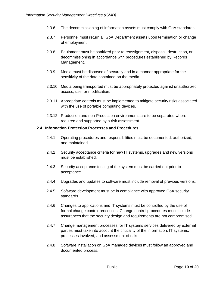- 2.3.6 The decommissioning of information assets must comply with GoA standards.
- 2.3.7 Personnel must return all GoA Department assets upon termination or change of employment.
- 2.3.8 Equipment must be sanitized prior to reassignment, disposal, destruction, or decommissioning in accordance with procedures established by Records Management.
- 2.3.9 Media must be disposed of securely and in a manner appropriate for the sensitivity of the data contained on the media.
- 2.3.10 Media being transported must be appropriately protected against unauthorized access, use, or modification.
- 2.3.11 Appropriate controls must be implemented to mitigate security risks associated with the use of portable computing devices.
- 2.3.12 Production and non-Production environments are to be separated where required and supported by a risk assessment.

#### <span id="page-9-0"></span>**2.4 Information Protection Processes and Procedures**

- 2.4.1 Operating procedures and responsibilities must be documented, authorized, and maintained.
- 2.4.2 Security acceptance criteria for new IT systems, upgrades and new versions must be established.
- 2.4.3 Security acceptance testing of the system must be carried out prior to acceptance.
- 2.4.4 Upgrades and updates to software must include removal of previous versions.
- 2.4.5 Software development must be in compliance with approved GoA security standards.
- 2.4.6 Changes to applications and IT systems must be controlled by the use of formal change control processes. Change control procedures must include assurances that the security design and requirements are not compromised.
- 2.4.7 Change management processes for IT systems services delivered by external parties must take into account the criticality of the information, IT systems, processes involved, and assessment of risks.
- 2.4.8 Software installation on GoA managed devices must follow an approved and documented process.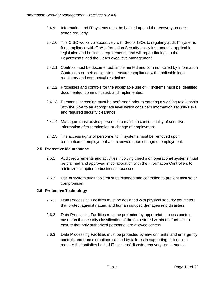- 2.4.9 Information and IT systems must be backed up and the recovery process tested regularly.
- 2.4.10 The CISO works collaboratively with Sector ISOs to regularly audit IT systems for compliance with GoA Information Security policy instruments, applicable legislation and business requirements, and will report findings to the Departments' and the GoA's executive management.
- 2.4.11 Controls must be documented, implemented and communicated by Information Controllers or their designate to ensure compliance with applicable legal, regulatory and contractual restrictions.
- 2.4.12 Processes and controls for the acceptable use of IT systems must be identified, documented, communicated, and implemented.
- 2.4.13 Personnel screening must be performed prior to entering a working relationship with the GoA to an appropriate level which considers information security risks and required security clearance.
- 2.4.14 Managers must advise personnel to maintain confidentiality of sensitive information after termination or change of employment.
- 2.4.15 The access rights of personnel to IT systems must be removed upon termination of employment and reviewed upon change of employment.

#### <span id="page-10-0"></span>**2.5 Protective Maintenance**

- 2.5.1 Audit requirements and activities involving checks on operational systems must be planned and approved in collaboration with the Information Controllers to minimize disruption to business processes.
- 2.5.2 Use of system audit tools must be planned and controlled to prevent misuse or compromise.

#### <span id="page-10-1"></span>**2.6 Protective Technology**

- 2.6.1 Data Processing Facilities must be designed with physical security perimeters that protect against natural and human induced damages and disasters.
- 2.6.2 Data Processing Facilities must be protected by appropriate access controls based on the security classification of the data stored within the facilities to ensure that only authorized personnel are allowed access.
- 2.6.3 Data Processing Facilities must be protected by environmental and emergency controls and from disruptions caused by failures in supporting utilities in a manner that satisfies hosted IT systems' disaster recovery requirements.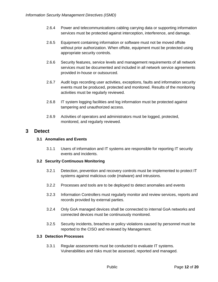- 2.6.4 Power and telecommunications cabling carrying data or supporting information services must be protected against interception, interference, and damage.
- 2.6.5 Equipment containing information or software must not be moved offsite without prior authorization. When offsite, equipment must be protected using appropriate security controls.
- 2.6.6 Security features, service levels and management requirements of all network services must be documented and included in all network service agreements provided in-house or outsourced.
- 2.6.7 Audit logs recording user activities, exceptions, faults and information security events must be produced, protected and monitored. Results of the monitoring activities must be regularly reviewed.
- 2.6.8 IT system logging facilities and log information must be protected against tampering and unauthorized access.
- 2.6.9 Activities of operators and administrators must be logged, protected, monitored, and regularly reviewed.

#### <span id="page-11-1"></span><span id="page-11-0"></span>**3 Detect**

#### **3.1 Anomalies and Events**

3.1.1 Users of information and IT systems are responsible for reporting IT security events and incidents.

#### <span id="page-11-2"></span>**3.2 Security Continuous Monitoring**

- 3.2.1 Detection, prevention and recovery controls must be implemented to protect IT systems against malicious code (malware) and intrusions.
- 3.2.2 Processes and tools are to be deployed to detect anomalies and events
- 3.2.3 Information Controllers must regularly monitor and review services, reports and records provided by external parties.
- 3.2.4 Only GoA managed devices shall be connected to internal GoA networks and connected devices must be continuously monitored.
- 3.2.5 Security incidents, breaches or policy violations caused by personnel must be reported to the CISO and reviewed by Management.

#### <span id="page-11-3"></span>**3.3 Detection Processes**

3.3.1 Regular assessments must be conducted to evaluate IT systems. Vulnerabilities and risks must be assessed, reported and managed.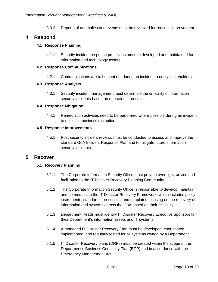3.3.2 Reports of anomalies and events must be reviewed for process improvement.

#### <span id="page-12-1"></span><span id="page-12-0"></span>**4 Respond**

#### **4.1 Response Planning**

4.1.1 Security incident response processes must be developed and maintained for all information and technology assets.

#### <span id="page-12-2"></span>**4.2 Response Communications**

4.2.1 Communications are to be sent out during an incident to notify stakeholders.

#### <span id="page-12-3"></span>**4.3 Response Analysis**

4.3.1 Security incident management must determine the criticality of information security incidents based on operational processes.

#### <span id="page-12-4"></span>**4.4 Response Mitigation**

4.4.1 Remediation activities need to be performed where possible during an incident to minimize business disruption.

#### <span id="page-12-5"></span>**4.5 Response Improvements**

4.5.1 Post security incident reviews must be conducted to assess and improve the standard GoA Incident Response Plan and to mitigate future information security incidents.

#### <span id="page-12-7"></span><span id="page-12-6"></span>**5 Recover**

#### **5.1 Recovery Planning**

- 5.1.1 The Corporate Information Security Office must provide oversight, advice and facilitation to the IT Disaster Recovery Planning Community.
- 5.1.2 The Corporate Information Security Office is responsible to develop, maintain, and communicate the IT Disaster Recovery Framework, which includes policy instruments, standards, processes, and templates focusing on the recovery of information and systems across the GoA based on their criticality.
- 5.1.3 Department Heads must identify IT Disaster Recovery Executive Sponsors for their Department's information assets and IT systems.
- 5.1.4 A managed IT Disaster Recovery Plan must be developed, coordinated, implemented, and regularly tested for all systems owned by a Department.
- 5.1.5 IT Disaster Recovery plans (DRPs) must be created within the scope of the Department's Business Continuity Plan (BCP) and in accordance with the Emergency Management Act.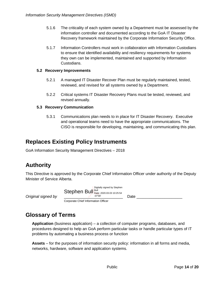- 5.1.6 The criticality of each system owned by a Department must be assessed by the information controller and documented according to the GoA IT Disaster Recovery framework maintained by the Corporate Information Security Office.
- 5.1.7 Information Controllers must work in collaboration with Information Custodians to ensure that identified availability and resiliency requirements for systems they own can be implemented, maintained and supported by Information Custodians.

#### <span id="page-13-0"></span>**5.2 Recovery Improvements**

- 5.2.1 A managed IT Disaster Recover Plan must be regularly maintained, tested, reviewed, and revised for all systems owned by a Department.
- 5.2.2 Critical systems IT Disaster Recovery Plans must be tested, reviewed, and revised annually.

#### <span id="page-13-1"></span>**5.3 Recovery Communication**

5.3.1 Communications plan needs to in place for IT Disaster Recovery. Executive and operational teams need to have the appropriate communications. The CISO is responsible for developing, maintaining, and communicating this plan.

### <span id="page-13-2"></span>**Replaces Existing Policy Instruments**

<span id="page-13-3"></span>GoA Information Security Management Directives – 2018

## **Authority**

*Original signed by* 

This Directive is approved by the Corporate Chief Information Officer under authority of the Deputy Minister of Service Alberta.

| Digitally signed by Stephen<br>Stephen Bull Bull Date: 2020.03.03 10:25:54<br>$-07'00'$ | Date |
|-----------------------------------------------------------------------------------------|------|
| Corporate Chief Information Officer                                                     |      |

## <span id="page-13-4"></span>**Glossary of Terms**

**Application** (business application) – a collection of computer programs, databases, and procedures designed to help an GoA perform particular tasks or handle particular types of IT problems by automating a business process or function

**Assets** – for the purposes of information security policy: information in all forms and media, networks, hardware, software and application systems.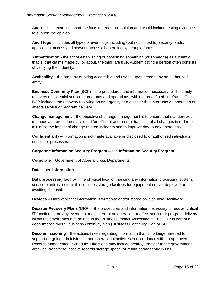**Audit** – is an examination of the facts to render an opinion and would include testing evidence to support the opinion.

**Audit logs** – includes all types of event logs including (but not limited to) security, audit, application, access and network across all operating system platforms.

**Authentication** - the act of establishing or confirming something (or someone) as authentic, that is, that claims made by, or about, the thing are true. Authenticating a person often consists of verifying their identity.

**Availability** – the property of being accessible and usable upon demand by an authorized entity.

**Business Continuity Plan** (BCP) – the procedures and information necessary for the timely recovery of essential services, programs and operations, within a predefined timeframe. The BCP includes the recovery following an emergency or a disaster that interrupts an operation or affects service or program delivery.

**Change management –** the objective of change management is to ensure that standardized methods and procedures are used for efficient and prompt handling of all changes in order to minimize the impact of change-related incidents and to improve day-to-day operations.

**Confidentiality** – information is not made available or disclosed to unauthorized individuals, entities or processes.

#### **Corporate Information Security Program** – see **Information Security Program**.

**Corporate** – Government of Alberta, cross Departments.

**Data** – see **Information**.

**Data processing facility** – the physical location housing any information processing system, service or infrastructure; this includes storage facilities for equipment not yet deployed or awaiting disposal.

**Devices –** Hardware that information is written to and/or stored on. See also **Hardware**.

**Disaster Recovery Plans** (DRP) – the procedures and information necessary to recover critical IT functions from any event that may interrupt an operation or affect service or program delivery, within the timeframes determined in the Business Impact Assessment. The DRP is part of a department's overall business continuity plan (Business Continuity Plan or BCP).

**Decommissioning** – the actions taken regarding information that is no longer needed to support on-going administrative and operational activities in accordance with an approved Records Management Schedule. Directions may include destroy, transfer to the government archives, transfer to inactive records storage space, or retain permanently in unit.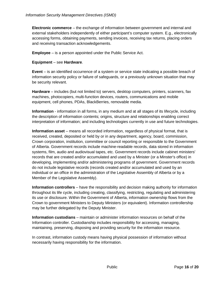**Electronic commerce** – the exchange of information between government and internal and external stakeholders independently of either participant's computer system. E.g., electronically accessing forms, obtaining payments, sending invoices, receiving tax returns, placing orders and receiving transaction acknowledgements.

**Employee** – is a person appointed under the Public Service Act.

#### **Equipment** – see **Hardware**.

**Event** – is an identified occurrence of a system or service state indicating a possible breach of information security policy or failure of safeguards, or a previously unknown situation that may be security relevant.

**Hardware** – includes (but not limited to) servers, desktop computers, printers, scanners, fax machines, photocopiers, multi-function devices, routers, communications and mobile equipment, cell phones, PDAs, BlackBerries, removable media.

**Information** - information in all forms, in any medium and at all stages of its lifecycle, including the description of information contents; origins, structure and relationships enabling correct interpretation of information; and including technologies currently in use and future technologies.

**Information asset** – means all recorded information, regardless of physical format, that is received, created, deposited or held by or in any department, agency, board, commission, Crown corporation, institution, committee or council reporting or responsible to the Government of Alberta. Government records include machine-readable records, data stored in information systems, film, audio and audiovisual tapes, etc. Government records include cabinet ministers' records that are created and/or accumulated and used by a Minister (or a Minster's office) in developing, implementing and/or administering programs of government. Government records do not include legislative records (records created and/or accumulated and used by an individual or an office in the administration of the Legislative Assembly of Alberta or by a Member of the Legislative Assembly).

**Information controllers** – have the responsibility and decision making authority for information throughout its life cycle, including creating, classifying, restricting, regulating and administering its use or disclosure. Within the Government of Alberta, information ownership flows from the Crown to government Ministers to Deputy Ministers (or equivalent). Information controllership may be further delegated by the Deputy Minister.

**Information custodians** – maintain or administer information resources on behalf of the Information controller. Custodianship includes responsibility for accessing, managing, maintaining, preserving, disposing and providing security for the information resource.

In contrast, information custody means having physical possession of information without necessarily having responsibility for the information.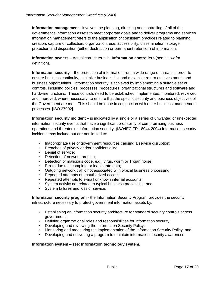**Information management** - involves the planning, directing and controlling of all of the government's information assets to meet corporate goals and to deliver programs and services. Information management refers to the application of consistent practices related to planning, creation, capture or collection, organization, use, accessibility, dissemination, storage, protection and disposition (either destruction or permanent retention) of information.

**Information owners** – Actual correct term is: **Information controllers** (see below for definition).

**Information security** – the protection of information from a wide range of threats in order to ensure business continuity, minimize business risk and maximize return on investments and business opportunities. Information security is achieved by implementing a suitable set of controls, including policies, processes, procedures, organizational structures and software and hardware functions. These controls need to be established, implemented, monitored, reviewed and improved, where necessary, to ensure that the specific security and business objectives of the Government are met. This should be done in conjunction with other business management processes. [ISO 27002].

**Information security incident** – is indicated by a single or a series of unwanted or unexpected information security events that have a significant probability of compromising business operations and threatening information security. (ISO/IEC TR 18044:2004) Information security incidents may include but are not limited to:

- Inappropriate use of government resources causing a service disruption;
- Breaches of privacy and/or confidentiality;
- Denial of service;
- Detection of network probing;
- Detection of malicious code, e.g., virus, worm or Trojan horse;
- Errors due to incomplete or inaccurate data;
- Outgoing network traffic not associated with typical business processing;
- Repeated attempts of unauthorized access;
- Repeated attempts to e-mail unknown internal accounts:
- System activity not related to typical business processing; and,
- System failures and loss of service.

**Information security program** - the Information Security Program provides the security infrastructure necessary to protect government information assets by:

- Establishing an information security architecture for standard security controls across government;
- Defining organizational roles and responsibilities for information security;
- Developing and reviewing the Information Security Policy;
- Monitoring and measuring the implementation of the Information Security Policy; and,
- Developing and delivering a program to maintain information security awareness

#### **Information system** – see: **Information technology system.**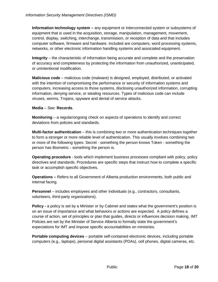**Information technology system –** any equipment or interconnected system or subsystems of equipment that is used in the acquisition, storage, manipulation, management, movement, control, display, switching, interchange, transmission, or reception of data and that includes computer software, firmware and hardware. Included are computers, word processing systems, networks, or other electronic information handling systems and associated equipment.

**Integrity** – the characteristic of information being accurate and complete and the preservation of accuracy and completeness by protecting the information from unauthorized, unanticipated, or unintentional modification.

**Malicious code** – malicious code (malware) is designed, employed, distributed, or activated with the intention of compromising the performance or security of information systems and computers, increasing access to those systems, disclosing unauthorized information, corrupting information, denying service, or stealing resources. Types of malicious code can include viruses, worms, Trojans, spyware and denial of service attacks.

#### **Media** – See: **Records**.

**Monitoring** – a regular/ongoing check on aspects of operations to identify and correct deviations from policies and standards.

**Multi-factor authentication** – this is combining two or more authentication techniques together to form a stronger or more reliable level of authentication. This usually involves combining two or more of the following types: Secret - something the person knows Token - something the person has Biometric - something the person is.

**Operating procedure** - tools which implement business processes compliant with policy, policy directives and standards. Procedures are specific steps that instruct how to complete a specific task or accomplish specific objectives.

**Operations –** Refers to all Government of Alberta production environments, both public and internal facing.

**Personnel** – includes employees and other individuals (e.g., contractors, consultants, volunteers, third-party organizations).

**Policy** - a policy is set by a Minister or by Cabinet and states what the government's position is on an issue of importance and what behaviors or actions are expected. A policy defines a course of action, set of principles or plan that guides, directs or influences decision making. IMT Policies are set by the Minister of Service Alberta to formally state the government's expectations for IMT and impose specific accountabilities on ministries.

**Portable computing devices** – portable self-contained electronic devices, including portable computers (e.g., laptops), personal digital assistants (PDAs), cell phones, digital cameras, etc.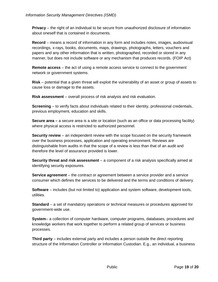**Privacy** – the right of an individual to be secure from unauthorized disclosure of information about oneself that is contained in documents.

**Record** – means a record of information in any form and includes notes, images, audiovisual recordings, x-rays, books, documents, maps, drawings, photographs, letters, vouchers and papers and any other information that is written, photographed, recorded or stored in any manner, but does not include software or any mechanism that produces records. (FOIP Act)

**Remote access** – the act of using a remote access service to connect to the government network or government systems.

**Risk** – potential that a given threat will exploit the vulnerability of an asset or group of assets to cause loss or damage to the assets.

**Risk assessment** – overall process of risk analysis and risk evaluation.

**Screening** – to verify facts about individuals related to their identity, professional credentials, previous employment, education and skills.

**Secure area –** a secure area is a site or location (such as an office or data processing facility) where physical access is restricted to authorized personnel.

**Security review** – an independent review with the scope focused on the security framework over the business processes, application and operating environment. Reviews are distinguishable from audits in that the scope of a review is less than that of an audit and therefore the level of assurance provided is lower.

**Security threat and risk assessment** – a component of a risk analysis specifically aimed at identifying security exposures.

**Service agreement** – the contract or agreement between a service provider and a service consumer which defines the services to be delivered and the terms and conditions of delivery.

**Software** – includes (but not limited to) application and system software, development tools, utilities.

**Standard** – a set of mandatory operations or technical measures or procedures approved for government-wide use.

**System**– a collection of computer hardware, computer programs, databases, procedures and knowledge workers that work together to perform a related group of services or business processes.

**Third party** – includes external party and includes a person outside the direct reporting structure of the Information Controller or Information Custodian. E.g., an individual, a business